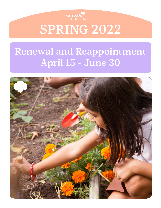

SPRING 2022

# Renewal and Reappointment April 15 - June 30

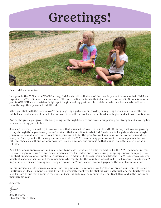# Greetings!



Dear Girl Scout Volunteer,

Last year, in the 2021 annual VOICES survey, Girl Scouts told us that one of the most important factors in their Girl Scout experience is YOU. Girls have also said one of the most critical factors in their decision to continue Girl Scouts for another year is YOU. YOU are a consistent bright spot for girls seeking positive role models outside their homes, who will assist them through their journey to adulthood.

When you stick with Girl Scouts, you're not just giving a girl something to do, you're giving her someone to be. The bravest, boldest, best version of herself. The version of herself that walks with her head a bit higher and acts with confidence.

And as she grows, you grow with her, guiding her through life's ups and downs, supporting her strength and showing her new and exciting paths to take.

Just as girls need you most right now, we know that you need us! You told us in the VOICES survey that you are growing weary through these pandemic years of service – that you believe in what Girl Scouts can do for girls, and even though you may be less satisfied than in years prior, you stay in it…for the girls. We want you to know that we see you and we hear you. As we plan for the spring, summer and into the 2023 membership year, we want to do so in partnership with YOU! Feedback is a gift and we want to improve our operations and support so that you have a better experience as a volunteer.

As a token of our appreciation, and in an effort to provide troops with a solid foundation for the 2023 membership year, we're offering numerous free and discounted resources for leaders and troops during the spring renewal campaign. See the chart on page 5 for comprehensive information. In addition to the campaign benefits, the first 25 leaders/co-leaders/ assistant leaders or service unit team members who register for the Volunteer Retreat in July will receive free admission! Registration details are coming soon. Keep an eye on the Troop Leader Facebook page and the volunteer newsletter.

In this uncertain world, you can count on one thing for sure: today, tomorrow, together, we are on your team! On behalf of Girl Scouts of Black Diamond Council, I want to personally thank you for sticking with us through another tough year and look forward to our partnership in reaching and serving girls in all communities within Black Diamond in the upcoming membership year.

Sincerely,

Jun

Jess Richards Chief Operating Officer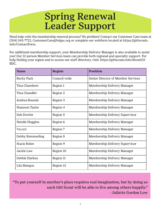# Spring Renewal Leader Support

Need help with the membership renewal process? No problem! Contact our Customer Care team at (304) 345-7722, CustomerCare@bdgsc.org or complete our webform located at https://girlscouts. info/ContactForm.

For additional membership support, your Membership Delivery Manager is also available to assist you! Our 12-person Member Services team can provide both regional and specialty support. For help finding your region and to access our staff directory, visit: https://girlscouts.info/AboutGS-BDC.

| <b>Name</b>      | <b>Region</b> | <b>Position</b>                    |
|------------------|---------------|------------------------------------|
| Becky Pack       | Council-wide  | Senior Director of Member Services |
| Tina Chambers    | Region 1      | Membership Delivery Manager        |
| Tina Chandler    | Region 2      | Membership Delivery Manager        |
| Andrea Rounds    | Region 3      | Membership Delivery Manager        |
| Shannon Taylor   | Region 4      | Membership Delivery Manager        |
| Deb Dowler       | Region 5      | Membership Delivery Supervisor     |
| Natalie Huggins  | Region 6      | Membership Delivery Manager        |
| Vacant           | Region 7      | Membership Delivery Manager        |
| Debby Kemmerling | Region 8      | Membership Delivery Manager        |
| Stacie Bolen     | Region 9      | Membership Delivery Supervisor     |
| Jackie Law       | Region 10     | Membership Delivery Manager        |
| Debbie Harless   | Region 11     | Membership Delivery Manager        |
| Lila Mangus      | Region 12     | Membership Delivery Manager        |

"To put yourself in another's place requires real imagination, but by doing so each Girl Scout will be able to live among others happily." - Juliette Gordon Low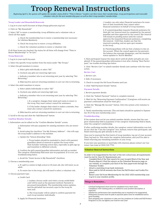### Troop Renewal Instructions

*Beginning April 1, the system will update the member status field to "Time to Renew." Leaders can then renew their memberships, troop participations and renewable volunteer roles for the next membership year, as well as their troop members' memberships.*

#### **Troop Leader and Household Renewals**

- 1. Log in to your myGS Account at https://mygs.girlscouts.org/cart.
- 2. Click on "My Household."

3. Select "All" to renew a membership, troop affiliation and a volunteer role; or check all that apply:

> a. Check the membership box to renew a membership (not necessary for Lifetime Members).

b. Check the troop box to renew a troop affiliation.

c. Check the volunteer position to renew a volunteer role.

If all three boxes are checked, the status for all three will change from "Time to Renew Membership" to "In Cart."

#### **Troop Renewals**

1. Log in to your myGS Account.

2. Select the specific troop number from the menu under "My Troops."

3. Select the girl members to renew.

a. Select girls individually or select "All."

b. Uncheck any girls not renewing right now.

c. Indicate a member who is not returning next year by selecting "Not Returning."

d. Hide inactive and not returning members to sort out who is returning.

4. Select the adult members to renew.

a. Select adults individually or select "All."

b. Uncheck any adults not renewing right now.

c. Indicate a member who is not returning next year by selecting "Not Returning."

> i. If a caregiver changes their mind and wants to renew to the troop, they must contact council for assistance.

 ii. If the leader changes their mind or makes a mistake, they must also contact council for assistance.

d. Hide inactive and not returning members to sort out who is returning.

5. Scroll to the top and click the "Add Renewal" button

#### **Confirm Member Details**

1. Information can be edited on the "Confirm Member Details" screen.

a. Information will auto-populate for existing members who are renewing.

b. Avoid using the checkbox "Use My Primary Address" – this will copy the troop leader's address to the member.

c. Update the "School Attending" field.

 i. Troop leaders should be reminded to check with parents/ guardians ahead of renewal to update the troop roster. That includes verifying school data, especially as girls age up and transition to different schools.

d. Confirm the girl's parent/guardian information and edit as needed. The caregiver relationship field must also be populated. If it is not, see troubleshooting below.

e. Avoid the "Grant Access to My Household" checkbox.

2. Choose a membership year.

a. If a girl is a senior in high school or 18 years old, she will renew as an adult.

b. To renew her to the troop, she will need to select a volunteer role.

3. Choose payment type.

a. Credit Card

 i. Leaders choose credit card when a troop credit/debit card will be used as the payment method. Payment is processed immediately. The membership status updates, and the girl/adult has secured a spot in the troop for next year.

 ii. The troop leader will be asked to confirm payment for each troop member individually.

b. Apply for Financial Assistance

 i. Leaders can only select financial assistance for mem bers of their household; they cannot select financial assistance on behalf of troop members.

 ii. If a parent/guardian requests financial assistance for their girl, her renewal must be completed by the parent/ guardian and then approved by the council. Her renewal will remain in pending status until the council approves the requested financial assistance, completing the renewal. Until then, leaders see that the renewal is pending, and an open spot remains in the troop.

 iii. Parents/guardians will see that a balance is due on the account. When the council approves the payment, the balance due message disappears, and the member status updates to "Active Member."

4. Next participant (repeat the steps above until all adults and girls are completed). If the parent/guardian information is lost after clicking "Next Participant," see trouble shooting tips below.

5. Click "Review Cart" to submit member details and continue with the transaction.

#### **Review Cart**

1. Review cart.

2. Edit, if necessary.

3. Check to accept the Girl Scout Promise and Law.

4. Click "Add Payment Details" button.

#### **Payment Details**

1. Review payment details.

2. Click the "Submit Payment" button to complete renewal.

3. Wait for the "Renewing Payment Confirmation." (Caregivers will receive an payment confirmation email for their girl.)

4. Click the "Manage My Account" button. (Give the system a few minutes to update.)

5. Verify membership renewals. (The end dates should be updated to September 30 of the new membership year.)

#### **Troubleshooting**

If the system does not let you submit member details, ensure that the caregiver relationship field is populated. If the caregiver relationship field is blank, enter the caregiver's relationship.

If after confirming member details, the caregiver contact information was lost, do not click the "I am the Caregiver" box. Instead, remove that participant, and finish renewing any girls already in the cart.

Once you've renewed the first batch of troop members, log out of your account. Then, log back in. This resets the caregiver information, and you'll be able to finish renewing any remaining members of your troop.

If you have any questions or need help with renewal, please contact our Customer Care team at (304) 345-7722.

#### **Volunteer Renewal Instructions**

In order to be reappointed by the start of the new school year, all requirements must be met by June 30. Requirements are:

- Complete End of the Year reports for your troop(s) (End of the Year and Finance Report). Find the reports on the Volunteer Resources page on our website, or complete your End of the Year paperwork through the Volunteer Toolkit.
- Attach a matching troop bank statement.
- Have paid in full all amounts due from the Fall Product and Cookie Programs.
- Renew your Girl Scout Membership for the 2022-2023 membership year. Log in to your member profile.

#### **Things to Remember...**

- Criminal background check must be completed every three years. • Compliance with training policy, as outlined in your position description, is expected.
- Satisfactory performance last membership year is required to be reappointed. • Delinquent accounts must be paid or payment plans must be established and in
- good standing. • Start prepping your volunteers to take over key positions in Cookie and Fall Product Programs so you can lighten your load for next year!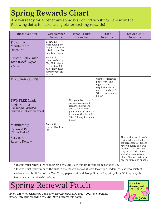# Spring Rewards Chart

Are you ready for another awesome year of Girl Scouting? Renew by the following dates to become eligible for exciting rewards!

| <b>Incentive Offer</b>                                                                                 | Girl Member<br>Incentive                                                                                                 | Troop Leader<br>Incentive                                                                                                                                                        | Troop<br>Incentive                                                                                                           | Service Unit<br>Incentive                                                                                                                                                                                                                             |
|--------------------------------------------------------------------------------------------------------|--------------------------------------------------------------------------------------------------------------------------|----------------------------------------------------------------------------------------------------------------------------------------------------------------------------------|------------------------------------------------------------------------------------------------------------------------------|-------------------------------------------------------------------------------------------------------------------------------------------------------------------------------------------------------------------------------------------------------|
| \$10 Girl Scout<br>Membership<br>Discount                                                              | Renew girl<br>membership by<br>May 15 to receive<br>this discount. See<br>details on page 6.                             |                                                                                                                                                                                  |                                                                                                                              |                                                                                                                                                                                                                                                       |
| Kristen Bell's Paint<br>Your World Purple<br>event.                                                    | Renew girl<br>membership by<br>May 13 to sign up<br>for Kristen Bell's<br>Paint Your World<br>Purple event on<br>May 19. |                                                                                                                                                                                  |                                                                                                                              |                                                                                                                                                                                                                                                       |
| <b>Troop Robotics Kit</b>                                                                              |                                                                                                                          |                                                                                                                                                                                  | Complete renewal<br>paperwork and<br>registration<br>requirements to<br>receive this benefit.<br>*See requirements<br>below. |                                                                                                                                                                                                                                                       |
| <b>TWO FREE Leader</b><br>Registrations<br>(\$50 savings. Limit two<br>registration rebates per troop) |                                                                                                                          | Complete two leader/<br>co-leader/assistant<br>leader registrations<br>and troop renewal<br>paperwork by June 30<br>to receive this benefit.<br>^See full requirements<br>below. |                                                                                                                              |                                                                                                                                                                                                                                                       |
| Membership<br><b>Renewal Patch</b><br>(Pictured below)                                                 | Free with<br>renewal by June<br>30.                                                                                      |                                                                                                                                                                                  |                                                                                                                              |                                                                                                                                                                                                                                                       |
| Service Unit<br>Race to Renew                                                                          |                                                                                                                          |                                                                                                                                                                                  |                                                                                                                              | The service unit in each<br>region who has the high-<br>est percentage of troops<br>renew beyond 55% will<br>receive a free overnight<br>stay at the Girl Zone for<br>a service team retreat.<br>Black Diamond will sup-<br>ply the pizza and snacks! |

\* Troops must renew 60% of their girls by June 30 to qualify for the troop robotics kit.

^ Troops must renew 60% of the girls in their troop, renew at least two troop leaders/co-leaders/assistant leaders and submit End of the Year Troop paperwork and Troop Finance Report by June 30 to qualify for Troop Leader membership rebate.

# Spring Renewal Patch

Every girl who registers by June 30 will receive a GSBDC 2022 - 2023 membership patch. Only girls renewing by June 30 will receive this patch.

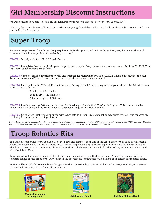## Girl Membership Discount Instructions

We are so excited to be able to offer a \$10 spring membership renewal discount between April 15 and May 15!

This year, the process is easy! All you have to do is renew your girls and they will automatically receive the \$10 discount until 11:59 p.m. on May 15. Easy peasy!

# Super Troop

We have changed some of our Super Troop requirements for this year. Check out the Super Troop requirements below and score an extra .05 cents per box of cookies for your troop!

PHASE 1: Participate in the 2021-22 Cookie Program.

PHASE 2: Re-register 60% of the girls in your troop and two troop leaders, co-leaders or assistant leaders by June 30, 2022. This year, both leader registrations are free!

PHASE 3: Complete reappointment paperwork and troop leader registration by June 30, 2022. This includes End of the Year Troop paperwork and Troop Finance Report, which includes a current bank statement.

PHASE 4: Participate in the 2022 Fall Product Program. During the Fall Product Program, troops must have the following sales, according to troop size:

- 1 to 9 girls \$50 in sales
- 10 to 19 girls \$100 in sales
- 20 or more girls \$150 in sales

PHASE 5: Reach an average PGA and percentage of girls selling cookies in the 2023 Cookie Program. This number is to be announced soon, so watch the Troop Leadership Facebook page for the exact number!

PHASE 6: Complete at least two community service projects as a troop. Projects must be completed by May 1 and reported on the Troop Community Service Report form.

*Did you know that if your troop is a Super Troop and sold 50 cases of cookies, you would have an additional \$30 in troop proceeds? If your troop sold 100 cases of cookies, then you would have an additional \$60. Troops receive the extra .05 cents for every box of cookies they sell, not just the initial sale.*

# Troop Robotics Kits

This year, all troops who renew at least 60% of their girls and complete their End of the Year paperwork by June 30 will receive a Robotics Incentive Kit. These kits include three robots to help girls of all grades and experience explore the world of robotics. Thanks to a generous grant from AEP, this year's incentives include: Mech 5 Mechanical Coding Robot; Salt Powered Robot; and Kidzlabs Robotic Hand.

Troop leaders will also receive a booklet that helps guide the meetings when the kits are in use. These kits connect with the Robotics badges in each grade level. Curriculum in the booklet ensures that girls will be able to earn at least one robotics badge.

Troops will be eligible for 10 free robotics badges once they have completed the curriculum and a survey. Get ready to discover, connect and take action in the fun world of robotics!



**Mech 5 Mechanical**





 **Coding Robot Salt Powered Robot KidzLabs Robotic Hand**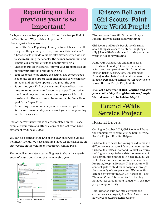### Reporting on the previous year is so important!

Each year, we ask troop leaders to fill out their troop's End of the Year Report. Why is this so important? Here are just a few reasons:

- End of the Year Reporting allows you to look back over all the great things that your troop has done this past year!
- These reports provide valuable information, which we use to secure funding that enables the council to maintain and expand our program efforts to benefit more girls.
- These reports let the council know if your troop needs support in your efforts to recruit new girls.
- Your feedback helps ensure the council has correct troop leader and troop support team information so we can stay in touch and provide support throughout the year.
- Submitting your End of the Year and Finance Reports on time are requirements for becoming a Super Troop, which could result in your troop earning more per each box of cookies sold. The report must be submitted by June 30 to qualify for Super Troop.
- Submitting these reports helps secure your troop's future for the next membership year, even if you are not planning to return as a leader.

End of the Year Reporting is easily completed online. Please complete your form and attach a copy of the last troop bank statement by June 30, 2022.

You can also complete the End of the Year paperwork via the Volunteer Toolkit! We have a training video for this available on our website on the Volunteer Resources/Training Page.

The council appreciates your willingness to share the experiences of your troop during the membership year.

| girl scouts<br>of black diamond |                                                                                                               | <b>DO Box 587</b><br><b>MARK 7722</b><br>800-756-7616                                                                                                                                                                                                                                                                                                                                                                                                             | Girl Scouts of Hock Diamond Council<br>Chadronic WV 25302<br>www.bdosc.org |
|---------------------------------|---------------------------------------------------------------------------------------------------------------|-------------------------------------------------------------------------------------------------------------------------------------------------------------------------------------------------------------------------------------------------------------------------------------------------------------------------------------------------------------------------------------------------------------------------------------------------------------------|----------------------------------------------------------------------------|
|                                 | If you have suestions, contact customercane@bdass.org or 304-345-7722.                                        | Tropps are required to complete a year-end self-evaluation and submit it by JUNE 30. This form is necessary to be considered<br>for re-appointment as a leader. Completing by June 30th is also a requirement to be considered for Super Troop status.                                                                                                                                                                                                            |                                                                            |
| Troop Leader's Email:           | Date of Leader's Current Background Check: / / /                                                              | Treep#: Service Unit County Served: State : State :<br>Trop Leader's Name: FIRST: LAST: LAST:                                                                                                                                                                                                                                                                                                                                                                     | <b>Phone: All Contracts</b>                                                |
| someone to take over the boos.  |                                                                                                               | Do you intend to return as a leader next year? To Yes, I am returning. To No. I am not returning.<br>If you don't intend to continue as a leader, clease help the sirls in your troop continue the Ciri Scoul experience and recommend<br>Name: Thomas Phoenix (1999)                                                                                                                                                                                             |                                                                            |
|                                 | Cookie Chair Name: The Cookie Chair Name:<br>Please lat any other adult volunteers and the costion they hold: | Assistant Leader's Name: http://www.com/community.com/community/community/community/community/community/community/community/community/community/community/community/community/community/community/community/community/communit<br>Assistant Leader's Name: The Committee of the Committee of the Committee of the Committee of the Committee of<br>Fall Product Chair Name: North All And All And All And All And All And All And All And All And All And All And |                                                                            |
| Returning                       | What is the status of this troop for the next membership year?<br>Merge with another troop                    | <b>Distancing</b>                                                                                                                                                                                                                                                                                                                                                                                                                                                 | <b>BE Not Sure Yet</b>                                                     |
| Community Service Project       |                                                                                                               |                                                                                                                                                                                                                                                                                                                                                                                                                                                                   | Total # of Oirls Participating: Total # of Hours Per Oirl:                 |
|                                 |                                                                                                               |                                                                                                                                                                                                                                                                                                                                                                                                                                                                   |                                                                            |
|                                 |                                                                                                               |                                                                                                                                                                                                                                                                                                                                                                                                                                                                   |                                                                            |

| <b>Previous Year's Ratence:</b>                                                                                                                                                                                                                                                                                                                                    | s.         | Expenses - Membership Registrations:               | s  |
|--------------------------------------------------------------------------------------------------------------------------------------------------------------------------------------------------------------------------------------------------------------------------------------------------------------------------------------------------------------------|------------|----------------------------------------------------|----|
| Income -- Trans-Oute (If you called them)                                                                                                                                                                                                                                                                                                                          | ×.         | Expenses-InsignialRecognitions:                    | ٠  |
| Income -- Membership Flephindoms                                                                                                                                                                                                                                                                                                                                   | ×.         | Expenses - Local, Service Unit ,Regional<br>Fuente | ٠  |
| Income -- Insignia/Recognitions:                                                                                                                                                                                                                                                                                                                                   | x.         | Expenses - Camping                                 | ٠  |
| Innova  Fall Protect Sale Dennet                                                                                                                                                                                                                                                                                                                                   | x.         | Expenses - Oversight Trips:                        | t. |
| Income -- Cockie Sale Decoralt                                                                                                                                                                                                                                                                                                                                     |            | Expenses - Council Events                          |    |
| Income - Oversight Trips:                                                                                                                                                                                                                                                                                                                                          | s.         | Expenses - Program Supplies:                       | ٠  |
| Income -- Day Trips or Special Activities                                                                                                                                                                                                                                                                                                                          | $\epsilon$ | <b>Comes-Fedited Dalphert</b>                      | ٠  |
| Income -- Council Sponsored Programs:                                                                                                                                                                                                                                                                                                                              | ×.         | Expenses - Service Projects                        | t. |
| Income -- Local, Service Unit or Regional Events:                                                                                                                                                                                                                                                                                                                  | ×.         | Expenses - Postage                                 | ٠  |
| Income -- Additional Money Carning Activities:                                                                                                                                                                                                                                                                                                                     | t.         | Finanza - Scotts and East-                         | ٠  |
| Income -- Donational Sportsonhige:                                                                                                                                                                                                                                                                                                                                 |            | Expenses - Fall Product Sole Payment               | ٠  |
| Income -- Other Sources                                                                                                                                                                                                                                                                                                                                            |            | Extenses - Cookie Sale Parment                     |    |
|                                                                                                                                                                                                                                                                                                                                                                    |            | <b>Crowner - Bank Fees:</b>                        | ٠  |
|                                                                                                                                                                                                                                                                                                                                                                    |            | Expenses - Training                                |    |
|                                                                                                                                                                                                                                                                                                                                                                    |            | Expenses - Financial Support                       |    |
|                                                                                                                                                                                                                                                                                                                                                                    |            | Expenses - Other Expenses:                         |    |
| TOTAL INCOME:                                                                                                                                                                                                                                                                                                                                                      | ٠          | <b>TOTAL EXPENSES</b>                              |    |
| All rebates will be direct deposited into your trong account. Please previde accords account information to avoid delays in<br>processing your troop's reliate. "Note routing numbers contain 5 digits and are surrounded by it on your troop check.<br>Please enter your full banking information here:<br>Branch Marie 1999, California Marie 1999<br>Bonk Name: |            |                                                    |    |
| Checkins/Sarahon Assessed Number                                                                                                                                                                                                                                                                                                                                   |            |                                                    |    |
| Checking/Savings Account Routing Number                                                                                                                                                                                                                                                                                                                            |            |                                                    |    |
| Signers on the account.                                                                                                                                                                                                                                                                                                                                            |            |                                                    |    |
|                                                                                                                                                                                                                                                                                                                                                                    |            |                                                    |    |

Troop Finance Report

Reflecting on the Troop/Group Year

### Kristen Bell and Girl Scouts: Paint Your World Purple!

Discover your inner Girl Scout and Purple Person - it's way easier than you think!

Girl Scouts and Purple People love learning about things like space dolphins, laughing at silly jokes with Grandma and making sure the world is full of playgrounds.

Paint your world purple and join us for a virtual event on May 19 for Girl Scouts with actor, producer, parent and Girl Scout alum Kristen Bell (*The Good Place, Veronica Mars, Frozen*) as she chats about what it means to be a Purple Person and completes fun activities to show off those Purple People skills.

**Kick off a new year of Girl Scouting and save your spot by May 13 at girlscouts.org/purple. Virtual event will be held on May 19.**

### Council-Wide Service Project

### Hospital Helpers

Coming in October 2022, Girl Scouts will have the opportunity to complete the Council-Wide Service Project: Hospital Helpers.

Girl Scouts are never too young or old to make a difference in a person's life or their community. Girl Scouts of Black Diamond Council is always seeking new ways to be a sister to members of our community and those in need. In 2023, we will release our new Community Service Patch Program, Hospital Helpers. This program will connect girls to children in hospitals through the assembly of care packages. We know this can be a stressful time, so Girl Scouts of Black Diamond Council is committed to helping families feel cared for and valued with this new program opportunity.

Until October, girls can still complete the current service project, Paw Pals. Learn more at www.bdgsc.org/patchprograms.